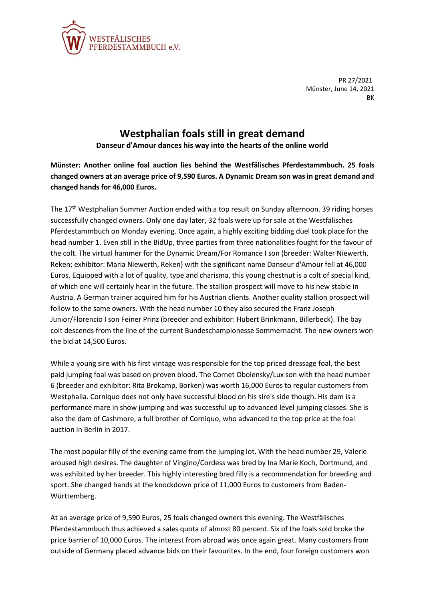

PR 27/2021 Münster, June 14, 2021 **BK** 

## **Westphalian foals still in great demand**

**Danseur d'Amour dances his way into the hearts of the online world**

**Münster: Another online foal auction lies behind the Westfälisches Pferdestammbuch. 25 foals changed owners at an average price of 9,590 Euros. A Dynamic Dream son was in great demand and changed hands for 46,000 Euros.**

The 17th Westphalian Summer Auction ended with a top result on Sunday afternoon. 39 riding horses successfully changed owners. Only one day later, 32 foals were up for sale at the Westfälisches Pferdestammbuch on Monday evening. Once again, a highly exciting bidding duel took place for the head number 1. Even still in the BidUp, three parties from three nationalities fought for the favour of the colt. The virtual hammer for the Dynamic Dream/For Romance I son (breeder: Walter Niewerth, Reken; exhibitor: Maria Niewerth, Reken) with the significant name Danseur d'Amour fell at 46,000 Euros. Equipped with a lot of quality, type and charisma, this young chestnut is a colt of special kind, of which one will certainly hear in the future. The stallion prospect will move to his new stable in Austria. A German trainer acquired him for his Austrian clients. Another quality stallion prospect will follow to the same owners. With the head number 10 they also secured the Franz Joseph Junior/Florencio I son Feiner Prinz (breeder and exhibitor: Hubert Brinkmann, Billerbeck). The bay colt descends from the line of the current Bundeschampionesse Sommernacht. The new owners won the bid at 14,500 Euros.

While a young sire with his first vintage was responsible for the top priced dressage foal, the best paid jumping foal was based on proven blood. The Cornet Obolensky/Lux son with the head number 6 (breeder and exhibitor: Rita Brokamp, Borken) was worth 16,000 Euros to regular customers from Westphalia. Corniquo does not only have successful blood on his sire's side though. His dam is a performance mare in show jumping and was successful up to advanced level jumping classes. She is also the dam of Cashmore, a full brother of Corniquo, who advanced to the top price at the foal auction in Berlin in 2017.

The most popular filly of the evening came from the jumping lot. With the head number 29, Valerie aroused high desires. The daughter of Vingino/Cordess was bred by Ina Marie Koch, Dortmund, and was exhibited by her breeder. This highly interesting bred filly is a recommendation for breeding and sport. She changed hands at the knockdown price of 11,000 Euros to customers from Baden-Württemberg.

At an average price of 9,590 Euros, 25 foals changed owners this evening. The Westfälisches Pferdestammbuch thus achieved a sales quota of almost 80 percent. Six of the foals sold broke the price barrier of 10,000 Euros. The interest from abroad was once again great. Many customers from outside of Germany placed advance bids on their favourites. In the end, four foreign customers won